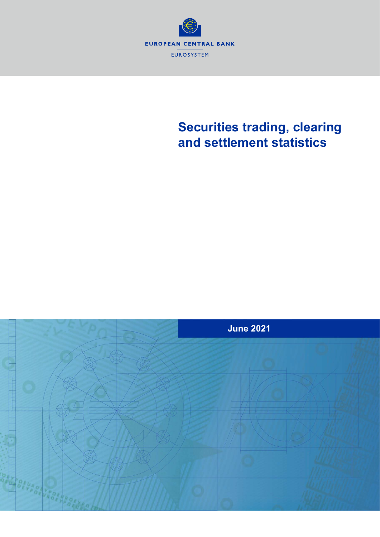

## **Securities trading, clearing and settlement statistics**

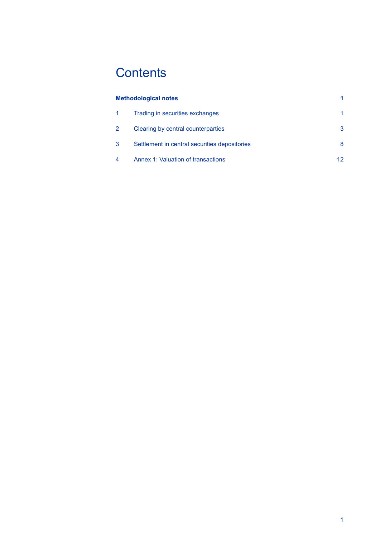# **Contents**

|    | <b>Methodological notes</b>                   |    |
|----|-----------------------------------------------|----|
|    | Trading in securities exchanges               | 1  |
| -2 | Clearing by central counterparties            | 3  |
| 3  | Settlement in central securities depositories | 8  |
| 4  | Annex 1: Valuation of transactions            | 12 |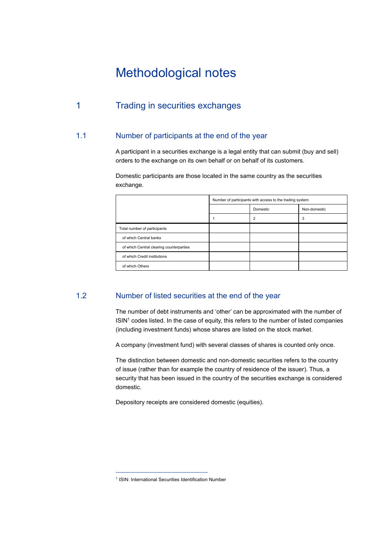## Methodological notes

## 1 Trading in securities exchanges

#### 1.1 Number of participants at the end of the year

A participant in a securities exchange is a legal entity that can submit (buy and sell) orders to the exchange on its own behalf or on behalf of its customers.

Domestic participants are those located in the same country as the securities exchange.

|                                          | Number of participants with access to the trading system |          |              |  |
|------------------------------------------|----------------------------------------------------------|----------|--------------|--|
|                                          |                                                          | Domestic | Non-domestic |  |
|                                          |                                                          | 2        | 3            |  |
| Total number of participants             |                                                          |          |              |  |
| of which Central banks                   |                                                          |          |              |  |
| of which Central clearing counterparties |                                                          |          |              |  |
| of which Credit institutions             |                                                          |          |              |  |
| of which Others                          |                                                          |          |              |  |

#### 1.2 Number of listed securities at the end of the year

The number of debt instruments and 'other' can be approximated with the number of  $ISIN<sup>1</sup>$  codes listed. In the case of equity, this refers to the number of listed companies (including investment funds) whose shares are listed on the stock market.

A company (investment fund) with several classes of shares is counted only once.

The distinction between domestic and non-domestic securities refers to the country of issue (rather than for example the country of residence of the issuer). Thus, a security that has been issued in the country of the securities exchange is considered domestic.

Depository receipts are considered domestic (equities).

<sup>&</sup>lt;sup>1</sup> ISIN: International Securities Identification Number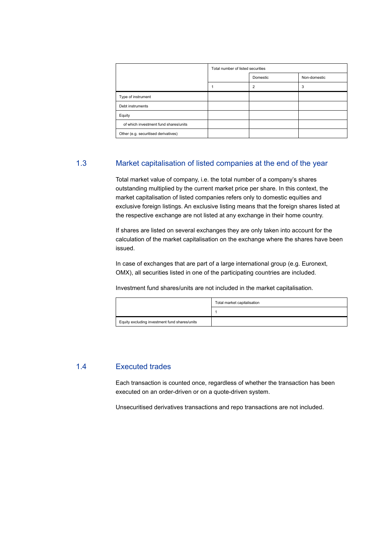|                                       | Total number of listed securities |                |              |  |
|---------------------------------------|-----------------------------------|----------------|--------------|--|
|                                       |                                   | Domestic       | Non-domestic |  |
|                                       |                                   | $\overline{2}$ | 3            |  |
| Type of instrument                    |                                   |                |              |  |
| Debt instruments                      |                                   |                |              |  |
| Equity                                |                                   |                |              |  |
| of which investment fund shares/units |                                   |                |              |  |
| Other (e.g. securitised derivatives)  |                                   |                |              |  |

#### 1.3 Market capitalisation of listed companies at the end of the year

Total market value of company, i.e. the total number of a company's shares outstanding multiplied by the current market price per share. In this context, the market capitalisation of listed companies refers only to domestic equities and exclusive foreign listings. An exclusive listing means that the foreign shares listed at the respective exchange are not listed at any exchange in their home country.

If shares are listed on several exchanges they are only taken into account for the calculation of the market capitalisation on the exchange where the shares have been issued.

In case of exchanges that are part of a large international group (e.g. Euronext, OMX), all securities listed in one of the participating countries are included.

Investment fund shares/units are not included in the market capitalisation.

|                                               | Total market capitalisation |
|-----------------------------------------------|-----------------------------|
|                                               |                             |
| Equity excluding investment fund shares/units |                             |

#### 1.4 Executed trades

Each transaction is counted once, regardless of whether the transaction has been executed on an order-driven or on a quote-driven system.

Unsecuritised derivatives transactions and repo transactions are not included.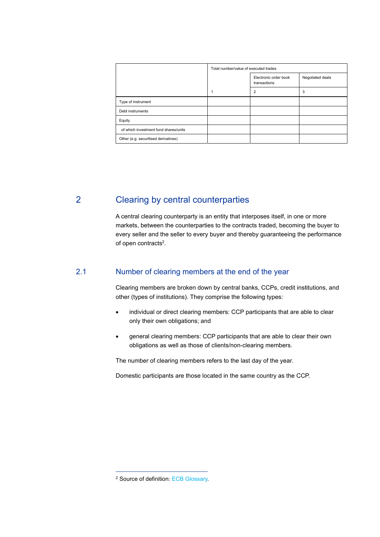|                                       | Total number/value of executed trades |                                       |                  |  |
|---------------------------------------|---------------------------------------|---------------------------------------|------------------|--|
|                                       |                                       | Electronic order book<br>transactions | Negotiated deals |  |
|                                       |                                       | $\overline{2}$                        | 3                |  |
| Type of instrument                    |                                       |                                       |                  |  |
| Debt instruments                      |                                       |                                       |                  |  |
| Equity                                |                                       |                                       |                  |  |
| of which investment fund shares/units |                                       |                                       |                  |  |
| Other (e.g. securitised derivatives)  |                                       |                                       |                  |  |

## 2 Clearing by central counterparties

A central clearing counterparty is an entity that interposes itself, in one or more markets, between the counterparties to the contracts traded, becoming the buyer to every seller and the seller to every buyer and thereby guaranteeing the performance of open contracts<sup>2</sup>.

#### 2.1 Number of clearing members at the end of the year

Clearing members are broken down by central banks, CCPs, credit institutions, and other (types of institutions). They comprise the following types:

- individual or direct clearing members: CCP participants that are able to clear only their own obligations; and
- general clearing members: CCP participants that are able to clear their own obligations as well as those of clients/non-clearing members.

The number of clearing members refers to the last day of the year.

Domestic participants are those located in the same country as the CCP.

<sup>2</sup> Source of definition: ECB Glossary.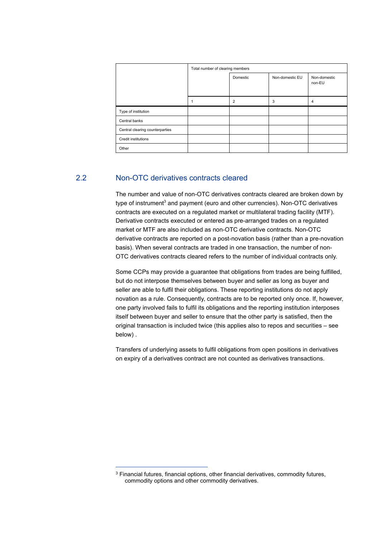|                                 | Total number of clearing members |                |                 |                        |  |
|---------------------------------|----------------------------------|----------------|-----------------|------------------------|--|
|                                 |                                  | Domestic       | Non-domestic EU | Non-domestic<br>non-EU |  |
|                                 |                                  | $\overline{2}$ | 3               | 4                      |  |
| Type of institution             |                                  |                |                 |                        |  |
| Central banks                   |                                  |                |                 |                        |  |
| Central clearing counterparties |                                  |                |                 |                        |  |
| <b>Credit institutions</b>      |                                  |                |                 |                        |  |
| Other                           |                                  |                |                 |                        |  |

#### 2.2 Non-OTC derivatives contracts cleared

The number and value of non-OTC derivatives contracts cleared are broken down by type of instrument<sup>3</sup> and payment (euro and other currencies). Non-OTC derivatives contracts are executed on a regulated market or multilateral trading facility (MTF). Derivative contracts executed or entered as pre-arranged trades on a regulated market or MTF are also included as non-OTC derivative contracts. Non-OTC derivative contracts are reported on a post-novation basis (rather than a pre-novation basis). When several contracts are traded in one transaction, the number of non-OTC derivatives contracts cleared refers to the number of individual contracts only.

Some CCPs may provide a guarantee that obligations from trades are being fulfilled, but do not interpose themselves between buyer and seller as long as buyer and seller are able to fulfil their obligations. These reporting institutions do not apply novation as a rule. Consequently, contracts are to be reported only once. If, however, one party involved fails to fulfil its obligations and the reporting institution interposes itself between buyer and seller to ensure that the other party is satisfied, then the original transaction is included twice (this applies also to repos and securities – see below) .

Transfers of underlying assets to fulfil obligations from open positions in derivatives on expiry of a derivatives contract are not counted as derivatives transactions.

<sup>&</sup>lt;sup>3</sup> Financial futures, financial options, other financial derivatives, commodity futures, commodity options and other commodity derivatives.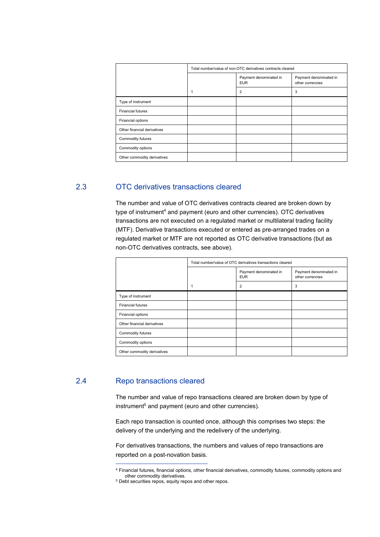|                             | Total number/value of non-OTC derivatives contracts cleared |                                      |                                            |  |
|-----------------------------|-------------------------------------------------------------|--------------------------------------|--------------------------------------------|--|
|                             |                                                             | Payment denominated in<br><b>EUR</b> | Payment denominated in<br>other currencies |  |
|                             |                                                             | $\overline{2}$                       | 3                                          |  |
| Type of instrument          |                                                             |                                      |                                            |  |
| <b>Financial futures</b>    |                                                             |                                      |                                            |  |
| Financial options           |                                                             |                                      |                                            |  |
| Other financial derivatives |                                                             |                                      |                                            |  |
| Commodity futures           |                                                             |                                      |                                            |  |
| Commodity options           |                                                             |                                      |                                            |  |
| Other commodity derivatives |                                                             |                                      |                                            |  |

#### 2.3 OTC derivatives transactions cleared

The number and value of OTC derivatives contracts cleared are broken down by type of instrument<sup>4</sup> and payment (euro and other currencies). OTC derivatives transactions are not executed on a regulated market or multilateral trading facility (MTF). Derivative transactions executed or entered as pre-arranged trades on a regulated market or MTF are not reported as OTC derivative transactions (but as non-OTC derivatives contracts, see above).

|                             | Total number/value of OTC derivatives transactions cleared |                                      |                                            |  |  |
|-----------------------------|------------------------------------------------------------|--------------------------------------|--------------------------------------------|--|--|
|                             |                                                            | Payment denominated in<br><b>EUR</b> | Payment denominated in<br>other currencies |  |  |
|                             | 1                                                          | $\overline{2}$                       | 3                                          |  |  |
| Type of instrument          |                                                            |                                      |                                            |  |  |
| <b>Financial futures</b>    |                                                            |                                      |                                            |  |  |
| Financial options           |                                                            |                                      |                                            |  |  |
| Other financial derivatives |                                                            |                                      |                                            |  |  |
| Commodity futures           |                                                            |                                      |                                            |  |  |
| Commodity options           |                                                            |                                      |                                            |  |  |
| Other commodity derivatives |                                                            |                                      |                                            |  |  |
|                             |                                                            |                                      |                                            |  |  |

#### 2.4 Repo transactions cleared

The number and value of repo transactions cleared are broken down by type of instrument<sup>5</sup> and payment (euro and other currencies).

Each repo transaction is counted once, although this comprises two steps: the delivery of the underlying and the redelivery of the underlying.

For derivatives transactions, the numbers and values of repo transactions are reported on a post-novation basis.

<sup>4</sup> Financial futures, financial options, other financial derivatives, commodity futures, commodity options and

 $5$  Debt securities repos, equity repos and other repos.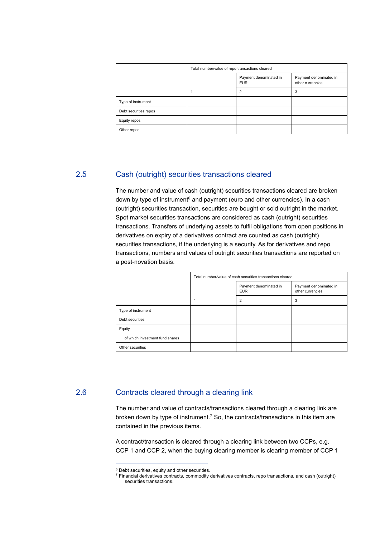|                       | Total number/value of repo transactions cleared |                                      |                                            |  |  |
|-----------------------|-------------------------------------------------|--------------------------------------|--------------------------------------------|--|--|
|                       |                                                 | Payment denominated in<br><b>EUR</b> | Payment denominated in<br>other currencies |  |  |
|                       |                                                 | $\overline{2}$                       | 3                                          |  |  |
| Type of instrument    |                                                 |                                      |                                            |  |  |
| Debt securities repos |                                                 |                                      |                                            |  |  |
| Equity repos          |                                                 |                                      |                                            |  |  |
| Other repos           |                                                 |                                      |                                            |  |  |

#### 2.5 Cash (outright) securities transactions cleared

The number and value of cash (outright) securities transactions cleared are broken down by type of instrument<sup>6</sup> and payment (euro and other currencies). In a cash (outright) securities transaction, securities are bought or sold outright in the market. Spot market securities transactions are considered as cash (outright) securities transactions. Transfers of underlying assets to fulfil obligations from open positions in derivatives on expiry of a derivatives contract are counted as cash (outright) securities transactions, if the underlying is a security. As for derivatives and repo transactions, numbers and values of outright securities transactions are reported on a post-novation basis.

|                                 | Total number/value of cash securities transactions cleared |                                      |                                            |  |  |
|---------------------------------|------------------------------------------------------------|--------------------------------------|--------------------------------------------|--|--|
|                                 |                                                            | Payment denominated in<br><b>EUR</b> | Payment denominated in<br>other currencies |  |  |
|                                 |                                                            | $\overline{2}$                       | 3                                          |  |  |
| Type of instrument              |                                                            |                                      |                                            |  |  |
| Debt securities                 |                                                            |                                      |                                            |  |  |
| Equity                          |                                                            |                                      |                                            |  |  |
| of which investment fund shares |                                                            |                                      |                                            |  |  |
| Other securities                |                                                            |                                      |                                            |  |  |

#### 2.6 Contracts cleared through a clearing link

The number and value of contracts/transactions cleared through a clearing link are broken down by type of instrument.<sup>7</sup> So, the contracts/transactions in this item are contained in the previous items.

A contract/transaction is cleared through a clearing link between two CCPs, e.g. CCP 1 and CCP 2, when the buying clearing member is clearing member of CCP 1

<sup>6</sup> Debt securities, equity and other securities.

<sup>7</sup> Financial derivatives contracts, commodity derivatives contracts, repo transactions, and cash (outright) securities transactions.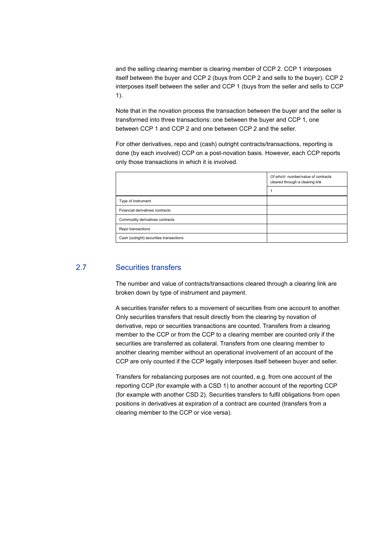and the selling clearing member is clearing member of CCP 2. CCP 1 interposes itself between the buyer and CCP 2 (buys from CCP 2 and sells to the buyer). CCP 2 interposes itself between the seller and CCP 1 (buys from the seller and sells to CCP 1).

Note that in the novation process the transaction between the buyer and the seller is transformed into three transactions: one between the buyer and CCP 1, one between CCP 1 and CCP 2 and one between CCP 2 and the seller.

For other derivatives, repo and (cash) outright contracts/transactions, reporting is done (by each involved) CCP on a post-novation basis. However, each CCP reports only those transactions in which it is involved.

|                                         | Of which: number/value of contracts<br>cleared through a clearing link |  |  |
|-----------------------------------------|------------------------------------------------------------------------|--|--|
|                                         |                                                                        |  |  |
| Type of instrument                      |                                                                        |  |  |
| Financial derivatives contracts         |                                                                        |  |  |
| Commodity derivatives contracts         |                                                                        |  |  |
| Repo transactions                       |                                                                        |  |  |
| Cash (outright) securities transactions |                                                                        |  |  |

#### 2.7 Securities transfers

The number and value of contracts/transactions cleared through a clearing link are broken down by type of instrument and payment.

A securities transfer refers to a movement of securities from one account to another. Only securities transfers that result directly from the clearing by novation of derivative, repo or securities transactions are counted. Transfers from a clearing member to the CCP or from the CCP to a clearing member are counted only if the securities are transferred as collateral. Transfers from one clearing member to another clearing member without an operational involvement of an account of the CCP are only counted if the CCP legally interposes itself between buyer and seller.

Transfers for rebalancing purposes are not counted, e.g. from one account of the reporting CCP (for example with a CSD 1) to another account of the reporting CCP (for example with another CSD 2). Securities transfers to fulfil obligations from open positions in derivatives at expiration of a contract are counted (transfers from a clearing member to the CCP or vice versa).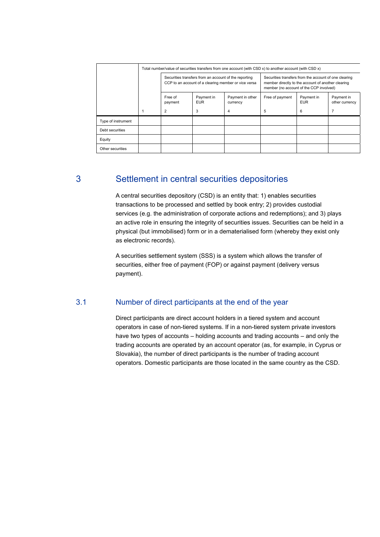|                    | Total number/value of securities transfers from one account (with CSD x) to another account (with CSD x)      |                          |                              |                                                                                                                                                        |                          |                              |
|--------------------|---------------------------------------------------------------------------------------------------------------|--------------------------|------------------------------|--------------------------------------------------------------------------------------------------------------------------------------------------------|--------------------------|------------------------------|
|                    | Securities transfers from an account of the reporting<br>CCP to an account of a clearing member or vice versa |                          |                              | Securities transfers from the account of one clearing<br>member directly to the account of another clearing<br>member (no account of the CCP involved) |                          |                              |
|                    | Free of<br>payment                                                                                            | Payment in<br><b>EUR</b> | Payment in other<br>currency | Free of payment                                                                                                                                        | Payment in<br><b>EUR</b> | Payment in<br>other currency |
|                    | 2                                                                                                             | 3                        | 4                            | 5                                                                                                                                                      | 6                        |                              |
| Type of instrument |                                                                                                               |                          |                              |                                                                                                                                                        |                          |                              |
| Debt securities    |                                                                                                               |                          |                              |                                                                                                                                                        |                          |                              |
| Equity             |                                                                                                               |                          |                              |                                                                                                                                                        |                          |                              |
| Other securities   |                                                                                                               |                          |                              |                                                                                                                                                        |                          |                              |

## 3 Settlement in central securities depositories

A central securities depository (CSD) is an entity that: 1) enables securities transactions to be processed and settled by book entry; 2) provides custodial services (e.g. the administration of corporate actions and redemptions); and 3) plays an active role in ensuring the integrity of securities issues. Securities can be held in a physical (but immobilised) form or in a dematerialised form (whereby they exist only as electronic records).

A securities settlement system (SSS) is a system which allows the transfer of securities, either free of payment (FOP) or against payment (delivery versus payment).

#### 3.1 Number of direct participants at the end of the year

Direct participants are direct account holders in a tiered system and account operators in case of non-tiered systems. If in a non-tiered system private investors have two types of accounts – holding accounts and trading accounts – and only the trading accounts are operated by an account operator (as, for example, in Cyprus or Slovakia), the number of direct participants is the number of trading account operators. Domestic participants are those located in the same country as the CSD.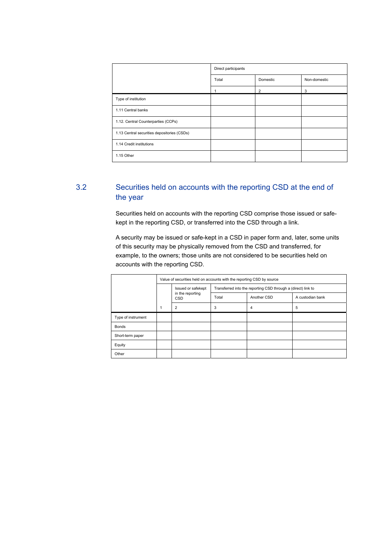|                                             | Direct participants |          |              |  |  |
|---------------------------------------------|---------------------|----------|--------------|--|--|
|                                             | Total               | Domestic | Non-domestic |  |  |
|                                             |                     | 2        | 3            |  |  |
| Type of institution                         |                     |          |              |  |  |
| 1.11 Central banks                          |                     |          |              |  |  |
| 1.12. Central Counterparties (CCPs)         |                     |          |              |  |  |
| 1.13 Central securities depositories (CSDs) |                     |          |              |  |  |
| 1.14 Credit institutions                    |                     |          |              |  |  |
| 1.15 Other                                  |                     |          |              |  |  |

## 3.2 Securities held on accounts with the reporting CSD at the end of the year

Securities held on accounts with the reporting CSD comprise those issued or safekept in the reporting CSD, or transferred into the CSD through a link.

A security may be issued or safe-kept in a CSD in paper form and, later, some units of this security may be physically removed from the CSD and transferred, for example, to the owners; those units are not considered to be securities held on accounts with the reporting CSD.

|                    | Value of securities held on accounts with the reporting CSD by source |                                                      |                                                               |             |                  |  |  |
|--------------------|-----------------------------------------------------------------------|------------------------------------------------------|---------------------------------------------------------------|-------------|------------------|--|--|
|                    |                                                                       | Issued or safekept<br>in the reporting<br><b>CSD</b> | Transferred into the reporting CSD through a (direct) link to |             |                  |  |  |
|                    |                                                                       |                                                      | Total                                                         | Another CSD | A custodian bank |  |  |
|                    |                                                                       | $\overline{2}$                                       | 3                                                             | 4           | 5                |  |  |
| Type of instrument |                                                                       |                                                      |                                                               |             |                  |  |  |
| <b>Bonds</b>       |                                                                       |                                                      |                                                               |             |                  |  |  |
| Short-term paper   |                                                                       |                                                      |                                                               |             |                  |  |  |
| Equity             |                                                                       |                                                      |                                                               |             |                  |  |  |
| Other              |                                                                       |                                                      |                                                               |             |                  |  |  |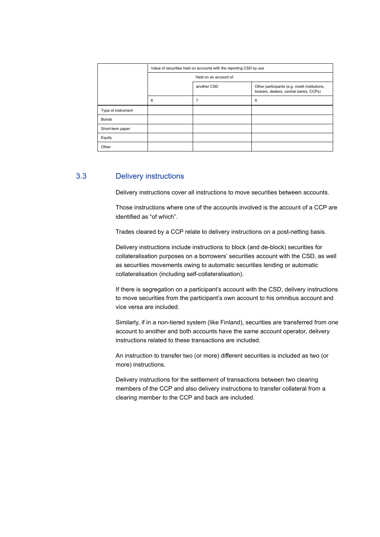|                    | Value of securities held on accounts with the reporting CSD by use |                        |                                                                                         |  |  |  |  |
|--------------------|--------------------------------------------------------------------|------------------------|-----------------------------------------------------------------------------------------|--|--|--|--|
|                    |                                                                    | Held on an account of: |                                                                                         |  |  |  |  |
|                    |                                                                    | another CSD            | Other participants (e.g. credit institutions,<br>brokers, dealers, central banks, CCPs) |  |  |  |  |
|                    | 6                                                                  | 7                      | 8                                                                                       |  |  |  |  |
| Type of instrument |                                                                    |                        |                                                                                         |  |  |  |  |
| <b>Bonds</b>       |                                                                    |                        |                                                                                         |  |  |  |  |
| Short-term paper   |                                                                    |                        |                                                                                         |  |  |  |  |
| Equity             |                                                                    |                        |                                                                                         |  |  |  |  |
| Other              |                                                                    |                        |                                                                                         |  |  |  |  |

#### 3.3 Delivery instructions

Delivery instructions cover all instructions to move securities between accounts.

Those instructions where one of the accounts involved is the account of a CCP are identified as "of which".

Trades cleared by a CCP relate to delivery instructions on a post-netting basis.

Delivery instructions include instructions to block (and de-block) securities for collateralisation purposes on a borrowers' securities account with the CSD, as well as securities movements owing to automatic securities lending or automatic collateralisation (including self-collateralisation).

If there is segregation on a participant's account with the CSD, delivery instructions to move securities from the participant's own account to his omnibus account and vice versa are included.

Similarly, if in a non-tiered system (like Finland), securities are transferred from one account to another and both accounts have the same account operator, delivery instructions related to these transactions are included.

An instruction to transfer two (or more) different securities is included as two (or more) instructions.

Delivery instructions for the settlement of transactions between two clearing members of the CCP and also delivery instructions to transfer collateral from a clearing member to the CCP and back are included.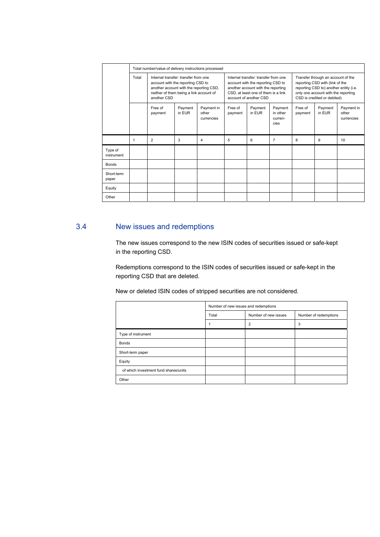|                       | Total number/value of delivery instructions processed |                                                                                                                                                                                |                   |                                                                                                                                                                                  |                    |                                                                                                                                                                                       |                                        |                    |                   |                                   |
|-----------------------|-------------------------------------------------------|--------------------------------------------------------------------------------------------------------------------------------------------------------------------------------|-------------------|----------------------------------------------------------------------------------------------------------------------------------------------------------------------------------|--------------------|---------------------------------------------------------------------------------------------------------------------------------------------------------------------------------------|----------------------------------------|--------------------|-------------------|-----------------------------------|
|                       | Total                                                 | Internal transfer: transfer from one<br>account with the reporting CSD to<br>another account with the reporting CSD,<br>neither of them being a link account of<br>another CSD |                   | Internal transfer: transfer from one<br>account with the reporting CSD to<br>another account with the reporting<br>CSD, at least one of them is a link<br>account of another CSD |                    | Transfer through an account of the<br>reporting CSD with (link of the<br>reporting CSD to) another entity (i.e.<br>only one account with the reporting<br>CSD is credited or debited) |                                        |                    |                   |                                   |
|                       |                                                       | Free of<br>payment                                                                                                                                                             | Payment<br>in EUR | Payment in<br>other<br>currencies                                                                                                                                                | Free of<br>payment | Payment<br>in EUR                                                                                                                                                                     | Payment<br>in other<br>curren-<br>cies | Free of<br>payment | Payment<br>in EUR | Payment in<br>other<br>currencies |
|                       | 1                                                     | $\overline{2}$                                                                                                                                                                 | 3                 | 4                                                                                                                                                                                | 5                  | 6                                                                                                                                                                                     | $\overline{7}$                         | 8                  | 9                 | 10 <sup>1</sup>                   |
| Type of<br>instrument |                                                       |                                                                                                                                                                                |                   |                                                                                                                                                                                  |                    |                                                                                                                                                                                       |                                        |                    |                   |                                   |
| <b>Bonds</b>          |                                                       |                                                                                                                                                                                |                   |                                                                                                                                                                                  |                    |                                                                                                                                                                                       |                                        |                    |                   |                                   |
| Short-term<br>paper   |                                                       |                                                                                                                                                                                |                   |                                                                                                                                                                                  |                    |                                                                                                                                                                                       |                                        |                    |                   |                                   |
| Equity                |                                                       |                                                                                                                                                                                |                   |                                                                                                                                                                                  |                    |                                                                                                                                                                                       |                                        |                    |                   |                                   |
| Other                 |                                                       |                                                                                                                                                                                |                   |                                                                                                                                                                                  |                    |                                                                                                                                                                                       |                                        |                    |                   |                                   |

### 3.4 New issues and redemptions

The new issues correspond to the new ISIN codes of securities issued or safe-kept in the reporting CSD.

Redemptions correspond to the ISIN codes of securities issued or safe-kept in the reporting CSD that are deleted.

New or deleted ISIN codes of stripped securities are not considered.

|                                       | Number of new issues and redemptions |                      |                       |  |  |
|---------------------------------------|--------------------------------------|----------------------|-----------------------|--|--|
|                                       | Total                                | Number of new issues | Number of redemptions |  |  |
|                                       |                                      | $\overline{2}$       | 3                     |  |  |
| Type of instrument                    |                                      |                      |                       |  |  |
| <b>Bonds</b>                          |                                      |                      |                       |  |  |
| Short-term paper                      |                                      |                      |                       |  |  |
| Equity                                |                                      |                      |                       |  |  |
| of which investment fund shares/units |                                      |                      |                       |  |  |
| Other                                 |                                      |                      |                       |  |  |